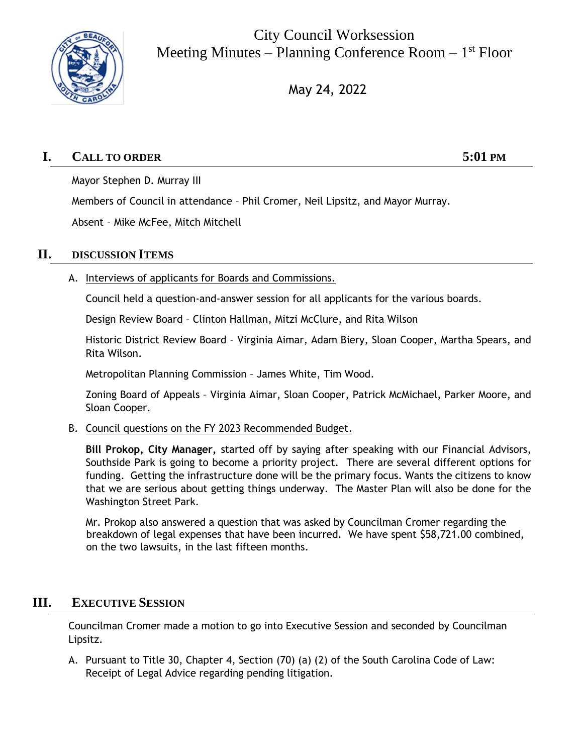

City Council Worksession Meeting Minutes – Planning Conference Room – 1<sup>st</sup> Floor

May 24, 2022

# **I. CALL TO ORDER 5:01 PM**

Mayor Stephen D. Murray III

Members of Council in attendance – Phil Cromer, Neil Lipsitz, and Mayor Murray.

Absent – Mike McFee, Mitch Mitchell

## **II. DISCUSSION ITEMS**

A. Interviews of applicants for Boards and Commissions.

Council held a question-and-answer session for all applicants for the various boards.

Design Review Board – Clinton Hallman, Mitzi McClure, and Rita Wilson

Historic District Review Board – Virginia Aimar, Adam Biery, Sloan Cooper, Martha Spears, and Rita Wilson.

Metropolitan Planning Commission – James White, Tim Wood.

Zoning Board of Appeals – Virginia Aimar, Sloan Cooper, Patrick McMichael, Parker Moore, and Sloan Cooper.

B. Council questions on the FY 2023 Recommended Budget.

**Bill Prokop, City Manager,** started off by saying after speaking with our Financial Advisors, Southside Park is going to become a priority project. There are several different options for funding. Getting the infrastructure done will be the primary focus. Wants the citizens to know that we are serious about getting things underway. The Master Plan will also be done for the Washington Street Park.

Mr. Prokop also answered a question that was asked by Councilman Cromer regarding the breakdown of legal expenses that have been incurred. We have spent \$58,721.00 combined, on the two lawsuits, in the last fifteen months.

## **III. EXECUTIVE SESSION**

Councilman Cromer made a motion to go into Executive Session and seconded by Councilman Lipsitz.

A. Pursuant to Title 30, Chapter 4, Section (70) (a) (2) of the South Carolina Code of Law: Receipt of Legal Advice regarding pending litigation.